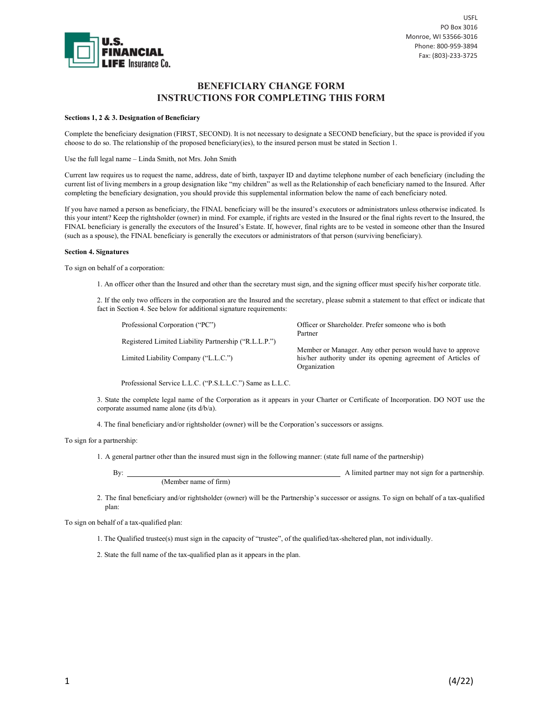

# BENEFICIARY CHANGE FORM INSTRUCTIONS FOR COMPLETING THIS FORM

### Sections 1, 2 & 3. Designation of Beneficiary

Complete the beneficiary designation (FIRST, SECOND). It is not necessary to designate a SECOND beneficiary, but the space is provided if you choose to do so. The relationship of the proposed beneficiary(ies), to the insured person must be stated in Section 1.

Use the full legal name – Linda Smith, not Mrs. John Smith

Current law requires us to request the name, address, date of birth, taxpayer ID and daytime telephone number of each beneficiary (including the current list of living members in a group designation like "my children" as well as the Relationship of each beneficiary named to the Insured. After completing the beneficiary designation, you should provide this supplemental information below the name of each beneficiary noted.

If you have named a person as beneficiary, the FINAL beneficiary will be the insured's executors or administrators unless otherwise indicated. Is this your intent? Keep the rightsholder (owner) in mind. For example, if rights are vested in the Insured or the final rights revert to the Insured, the FINAL beneficiary is generally the executors of the Insured's Estate. If, however, final rights are to be vested in someone other than the Insured (such as a spouse), the FINAL beneficiary is generally the executors or administrators of that person (surviving beneficiary).

### Section 4. Signatures

To sign on behalf of a corporation:

1. An officer other than the Insured and other than the secretary must sign, and the signing officer must specify his/her corporate title.

2. If the only two officers in the corporation are the Insured and the secretary, please submit a statement to that effect or indicate that fact in Section 4. See below for additional signature requirements:

| Professional Corporation ("PC")                           | Officer or Shareholder. Prefer someone who is both<br>Partner                                                                             |
|-----------------------------------------------------------|-------------------------------------------------------------------------------------------------------------------------------------------|
| Registered Limited Liability Partnership ("R.L.L.P.")     |                                                                                                                                           |
| Limited Liability Company ("L.L.C.")                      | Member or Manager. Any other person would have to approve<br>his/her authority under its opening agreement of Articles of<br>Organization |
| Professional Service L.L.C. ("P.S.L.L.C.") Same as L.L.C. |                                                                                                                                           |

3. State the complete legal name of the Corporation as it appears in your Charter or Certificate of Incorporation. DO NOT use the corporate assumed name alone (its d/b/a).

4. The final beneficiary and/or rightsholder (owner) will be the Corporation's successors or assigns.

To sign for a partnership:

1. A general partner other than the insured must sign in the following manner: (state full name of the partnership)

By: A limited partner may not sign for a partnership. (Member name of firm)

2. The final beneficiary and/or rightsholder (owner) will be the Partnership's successor or assigns. To sign on behalf of a tax-qualified plan:

To sign on behalf of a tax-qualified plan:

1. The Qualified trustee(s) must sign in the capacity of "trustee", of the qualified/tax-sheltered plan, not individually.

2. State the full name of the tax-qualified plan as it appears in the plan.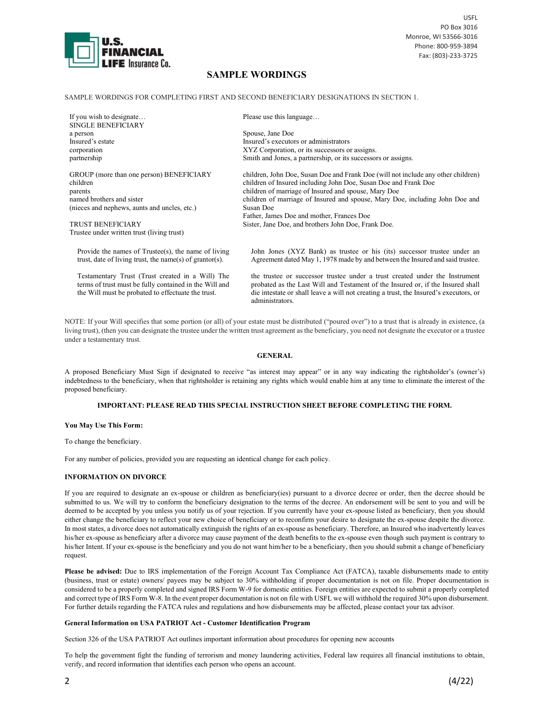

USFL PO Box 3016 Monroe, WI 53566-3016 Phone: 800-959-3894 Fax: (803)-233-3725

# SAMPLE WORDINGS

SAMPLE WORDINGS FOR COMPLETING FIRST AND SECOND BENEFICIARY DESIGNATIONS IN SECTION 1.

If you wish to designate… SINGLE BENEFICIARY a person Insured's estate corporation partnership GROUP (more than one person) BENEFICIARY children parents named brothers and sister (nieces and nephews, aunts and uncles, etc.) TRUST BENEFICIARY Trustee under written trust (living trust) Please use this language… Spouse, Jane Doe Insured's executors or administrators XYZ Corporation, or its successors or assigns. Smith and Jones, a partnership, or its successors or assigns. children, John Doe, Susan Doe and Frank Doe (will not include any other children) children of Insured including John Doe, Susan Doe and Frank Doe children of marriage of Insured and spouse, Mary Doe children of marriage of Insured and spouse, Mary Doe, including John Doe and Susan Doe Father, James Doe and mother, Frances Doe Sister, Jane Doe, and brothers John Doe, Frank Doe. Provide the names of Trustee(s), the name of living trust, date of living trust, the name(s) of grantor(s). John Jones (XYZ Bank) as trustee or his (its) successor trustee under an Agreement dated May 1, 1978 made by and between the Insured and said trustee.

Testamentary Trust (Trust created in a Will) The terms of trust must be fully contained in the Will and the Will must be probated to effectuate the trust.

the trustee or successor trustee under a trust created under the Instrument probated as the Last Will and Testament of the Insured or, if the Insured shall die intestate or shall leave a will not creating a trust, the Insured's executors, or administrators.

NOTE: If your Will specifies that some portion (or all) of your estate must be distributed ("poured over") to a trust that is already in existence, (a living trust), (then you can designate the trustee under the written trust agreement as the beneficiary, you need not designate the executor or a trustee under a testamentary trust.

### GENERAL

A proposed Beneficiary Must Sign if designated to receive "as interest may appear" or in any way indicating the rightsholder's (owner's) indebtedness to the beneficiary, when that rightsholder is retaining any rights which would enable him at any time to eliminate the interest of the proposed beneficiary.

## IMPORTANT: PLEASE READ THIS SPECIAL INSTRUCTION SHEET BEFORE COMPLETING THE FORM.

### You May Use This Form:

To change the beneficiary.

For any number of policies, provided you are requesting an identical change for each policy.

## INFORMATION ON DIVORCE

If you are required to designate an ex-spouse or children as beneficiary(ies) pursuant to a divorce decree or order, then the decree should be submitted to us. We will try to conform the beneficiary designation to the terms of the decree. An endorsement will be sent to you and will be deemed to be accepted by you unless you notify us of your rejection. If you currently have your ex-spouse listed as beneficiary, then you should either change the beneficiary to reflect your new choice of beneficiary or to reconfirm your desire to designate the ex-spouse despite the divorce. In most states, a divorce does not automatically extinguish the rights of an ex-spouse as beneficiary. Therefore, an Insured who inadvertently leaves his/her ex-spouse as beneficiary after a divorce may cause payment of the death benefits to the ex-spouse even though such payment is contrary to his/her Intent. If your ex-spouse is the beneficiary and you do not want him/her to be a beneficiary, then you should submit a change of beneficiary request.

Please be advised: Due to IRS implementation of the Foreign Account Tax Compliance Act (FATCA), taxable disbursements made to entity (business, trust or estate) owners/ payees may be subject to 30% withholding if proper documentation is not on file. Proper documentation is considered to be a properly completed and signed IRS Form W-9 for domestic entities. Foreign entities are expected to submit a properly completed and correct type of IRS Form W-8. In the event proper documentation is not on file with USFL we will withhold the required 30% upon disbursement. For further details regarding the FATCA rules and regulations and how disbursements may be affected, please contact your tax advisor.

### General Information on USA PATRIOT Act - Customer Identification Program

Section 326 of the USA PATRIOT Act outlines important information about procedures for opening new accounts

To help the government fight the funding of terrorism and money laundering activities, Federal law requires all financial institutions to obtain, verify, and record information that identifies each person who opens an account.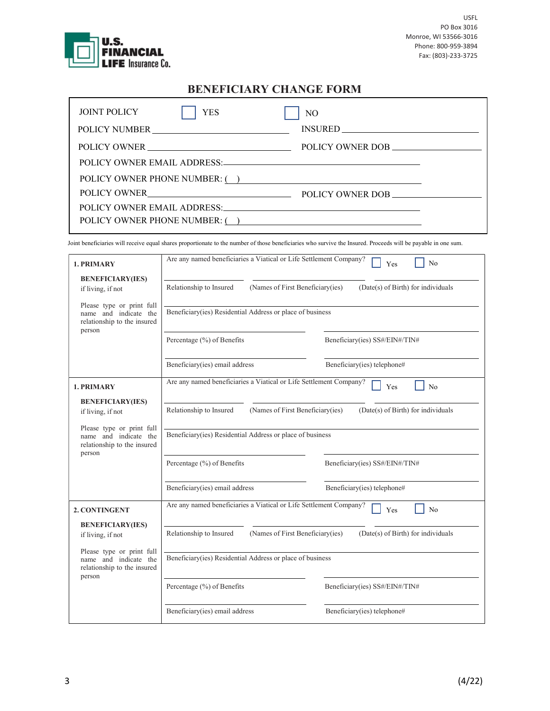

# BENEFICIARY CHANGE FORM

| <b>JOINT POLICY</b><br><b>YES</b> | NO               |
|-----------------------------------|------------------|
| POLICY NUMBER                     |                  |
| POLICY OWNER                      | POLICY OWNER DOB |
|                                   |                  |
| POLICY OWNER PHONE NUMBER: ( )    |                  |
|                                   |                  |
|                                   |                  |
| POLICY OWNER PHONE NUMBER: ()     |                  |

Joint beneficiaries will receive equal shares proportionate to the number of those beneficiaries who survive the Insured. Proceeds will be payable in one sum.

| 1. PRIMARY                                                                                  | Are any named beneficiaries a Viatical or Life Settlement Company?<br>N <sub>o</sub><br>Yes       |                                    |  |  |
|---------------------------------------------------------------------------------------------|---------------------------------------------------------------------------------------------------|------------------------------------|--|--|
| <b>BENEFICIARY(IES)</b><br>if living, if not                                                | Relationship to Insured<br>(Names of First Beneficiary(ies)                                       | (Date(s) of Birth) for individuals |  |  |
| Please type or print full<br>name and indicate the<br>relationship to the insured<br>person | Beneficiary(ies) Residential Address or place of business                                         |                                    |  |  |
|                                                                                             | Percentage (%) of Benefits                                                                        | Beneficiary(ies) SS#/EIN#/TIN#     |  |  |
|                                                                                             | Beneficiary(ies) email address                                                                    | Beneficiary(ies) telephone#        |  |  |
| 1. PRIMARY                                                                                  | Are any named beneficiaries a Viatical or Life Settlement Company?<br>N <sub>0</sub><br>Yes       |                                    |  |  |
| <b>BENEFICIARY(IES)</b><br>if living, if not                                                | (Names of First Beneficiary(ies)<br>Relationship to Insured<br>(Date(s) of Birth) for individuals |                                    |  |  |
| Please type or print full<br>name and indicate the<br>relationship to the insured<br>person | Beneficiary(ies) Residential Address or place of business                                         |                                    |  |  |
|                                                                                             | Percentage (%) of Benefits                                                                        | Beneficiary(ies) SS#/EIN#/TIN#     |  |  |
|                                                                                             | Beneficiary(ies) email address                                                                    | Beneficiary(ies) telephone#        |  |  |
| 2. CONTINGENT                                                                               | Are any named beneficiaries a Viatical or Life Settlement Company?<br>No<br>Yes                   |                                    |  |  |
| <b>BENEFICIARY(IES)</b><br>if living, if not                                                | Relationship to Insured<br>(Names of First Beneficiary(ies)<br>(Date(s) of Birth) for individuals |                                    |  |  |
| Please type or print full<br>name and indicate the<br>relationship to the insured<br>person | Beneficiary(ies) Residential Address or place of business                                         |                                    |  |  |
|                                                                                             | Percentage (%) of Benefits                                                                        | Beneficiary(ies) SS#/EIN#/TIN#     |  |  |
|                                                                                             | Beneficiary(ies) email address                                                                    | Beneficiary(ies) telephone#        |  |  |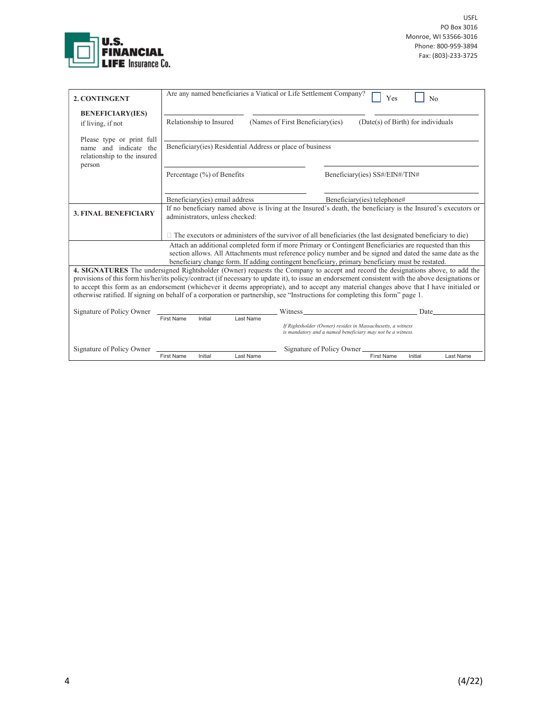

| 2. CONTINGENT                                                                                                                                                                                                                                                                                                            |                                                                                                                                                  |                               |           | Are any named beneficiaries a Viatical or Life Settlement Company?<br>N <sub>0</sub><br>Yes                                     |  |
|--------------------------------------------------------------------------------------------------------------------------------------------------------------------------------------------------------------------------------------------------------------------------------------------------------------------------|--------------------------------------------------------------------------------------------------------------------------------------------------|-------------------------------|-----------|---------------------------------------------------------------------------------------------------------------------------------|--|
| <b>BENEFICIARY(IES)</b><br>if living, if not                                                                                                                                                                                                                                                                             | Relationship to Insured<br>(Names of First Beneficiary(ies)<br>(Date(s) of Birth) for individuals                                                |                               |           |                                                                                                                                 |  |
| Please type or print full<br>and indicate the<br>name<br>relationship to the insured<br>person                                                                                                                                                                                                                           | Beneficiary (ies) Residential Address or place of business                                                                                       |                               |           |                                                                                                                                 |  |
|                                                                                                                                                                                                                                                                                                                          |                                                                                                                                                  | Percentage $(\%)$ of Benefits |           | Beneficiary(ies) SS#/EIN#/TIN#                                                                                                  |  |
|                                                                                                                                                                                                                                                                                                                          | Beneficiary(ies) email address                                                                                                                   |                               |           | Beneficiary(ies) telephone#                                                                                                     |  |
| <b>3. FINAL BENEFICIARY</b>                                                                                                                                                                                                                                                                                              | If no beneficiary named above is living at the Insured's death, the beneficiary is the Insured's executors or<br>administrators, unless checked: |                               |           |                                                                                                                                 |  |
|                                                                                                                                                                                                                                                                                                                          | $\Box$ The executors or administers of the survivor of all beneficiaries (the last designated beneficiary to die)                                |                               |           |                                                                                                                                 |  |
| Attach an additional completed form if more Primary or Contingent Beneficiaries are requested than this<br>section allows. All Attachments must reference policy number and be signed and dated the same date as the<br>beneficiary change form. If adding contingent beneficiary, primary beneficiary must be restated. |                                                                                                                                                  |                               |           |                                                                                                                                 |  |
|                                                                                                                                                                                                                                                                                                                          |                                                                                                                                                  |                               |           | 4. SIGNATURES The undersigned Rightsholder (Owner) requests the Company to accept and record the designations above, to add the |  |
| provisions of this form his/her/its policy/contract (if necessary to update it), to issue an endorsement consistent with the above designations or                                                                                                                                                                       |                                                                                                                                                  |                               |           |                                                                                                                                 |  |
| to accept this form as an endorsement (whichever it deems appropriate), and to accept any material changes above that I have initialed or                                                                                                                                                                                |                                                                                                                                                  |                               |           |                                                                                                                                 |  |
| otherwise ratified. If signing on behalf of a corporation or partnership, see "Instructions for completing this form" page 1.                                                                                                                                                                                            |                                                                                                                                                  |                               |           |                                                                                                                                 |  |
| Signature of Policy Owner                                                                                                                                                                                                                                                                                                |                                                                                                                                                  |                               |           | Date<br>Witness                                                                                                                 |  |
|                                                                                                                                                                                                                                                                                                                          | <b>First Name</b>                                                                                                                                | Initial                       | Last Name |                                                                                                                                 |  |
|                                                                                                                                                                                                                                                                                                                          |                                                                                                                                                  |                               |           | If Rightsholder (Owner) resides in Massachusetts, a witness<br>is mandatory and a named beneficiary may not be a witness.       |  |
| Signature of Policy Owner                                                                                                                                                                                                                                                                                                |                                                                                                                                                  |                               |           | Signature of Policy Owner                                                                                                       |  |
|                                                                                                                                                                                                                                                                                                                          | <b>First Name</b>                                                                                                                                | Initial                       | Last Name | <b>First Name</b><br>Initial<br>Last Name                                                                                       |  |